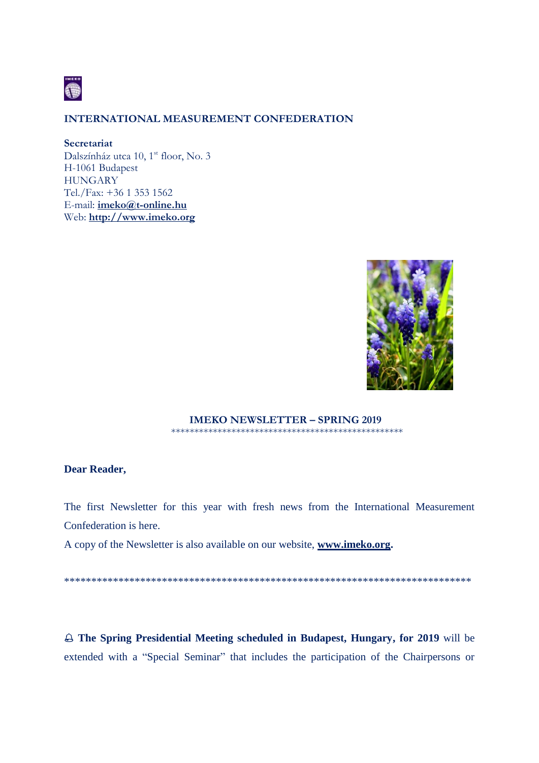

### **INTERNATIONAL MEASUREMENT CONFEDERATION**

#### **Secretariat**

Dalszínház utca 10, 1<sup>st</sup> floor, No. 3 H-1061 Budapest **HUNGARY** Tel./Fax: +36 1 353 1562 E-mail: **[imeko@t-online.hu](mailto:imeko@t-online.hu)** Web: **[http://www.imeko.org](http://www.imeko.org/)**



#### **IMEKO NEWSLETTER – SPRING 2019** \*\*\*\*\*\*\*\*\*\*\*\*\*\*\*\*\*\*\*\*\*\*\*\*\*\*\*\*\*\*\*\*\*\*\*\*\*\*\*\*\*\*\*\*\*\*\*\*\*\*

## **Dear Reader,**

The first Newsletter for this year with fresh news from the International Measurement Confederation is here.

A copy of the Newsletter is also available on our website, **[www.imeko.org.](http://www.imeko.org/)**

\*\*\*\*\*\*\*\*\*\*\*\*\*\*\*\*\*\*\*\*\*\*\*\*\*\*\*\*\*\*\*\*\*\*\*\*\*\*\*\*\*\*\*\*\*\*\*\*\*\*\*\*\*\*\*\*\*\*\*\*\*\*\*\*\*\*\*\*\*\*\*\*\*\*\*

 **The Spring Presidential Meeting scheduled in Budapest, Hungary, for 2019** will be extended with a "Special Seminar" that includes the participation of the Chairpersons or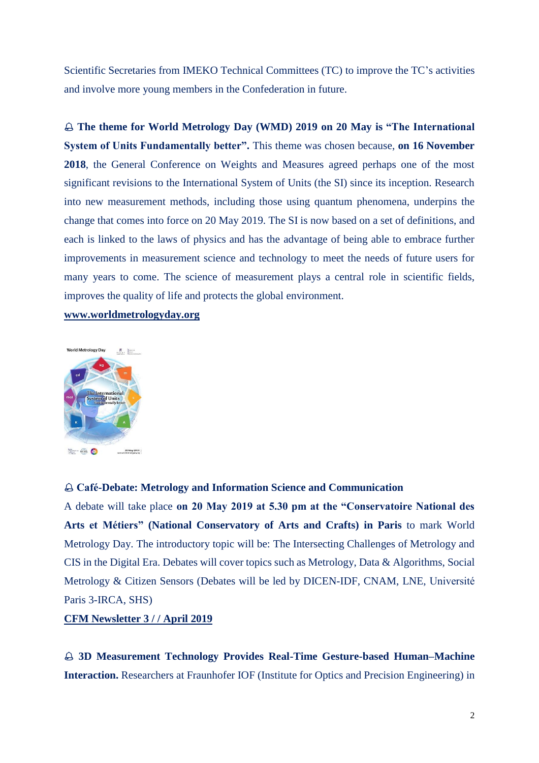Scientific Secretaries from IMEKO Technical Committees (TC) to improve the TC's activities and involve more young members in the Confederation in future.

 **The theme for World Metrology Day (WMD) 2019 on 20 May is "The International System of Units Fundamentally better".** This theme was chosen because, **on 16 November 2018**, the General Conference on Weights and Measures agreed perhaps one of the most significant revisions to the International System of Units (the SI) since its inception. Research into new measurement methods, including those using quantum phenomena, underpins the change that comes into force on 20 May 2019. The SI is now based on a set of definitions, and each is linked to the laws of physics and has the advantage of being able to embrace further improvements in measurement science and technology to meet the needs of future users for many years to come. The science of measurement plays a central role in scientific fields, improves the quality of life and protects the global environment.

### **[www.worldmetrologyday.org](http://www.worldmetrologyday.org/)**



#### **Café-Debate: Metrology and Information Science and Communication**

A debate will take place **on 20 May 2019 at 5.30 pm at the "Conservatoire National des Arts et Métiers" (National Conservatory of Arts and Crafts) in Paris** to mark World Metrology Day. The introductory topic will be: The Intersecting Challenges of Metrology and CIS in the Digital Era. Debates will cover topics such as Metrology, Data & Algorithms, Social Metrology & Citizen Sensors (Debates will be led by DICEN-IDF, CNAM, LNE, Université Paris 3-IRCA, SHS)

### **CFM Newsletter 3 / / April 2019**

 **3D Measurement Technology Provides Real-Time Gesture-based Human–Machine Interaction.** Researchers at Fraunhofer IOF (Institute for Optics and Precision Engineering) in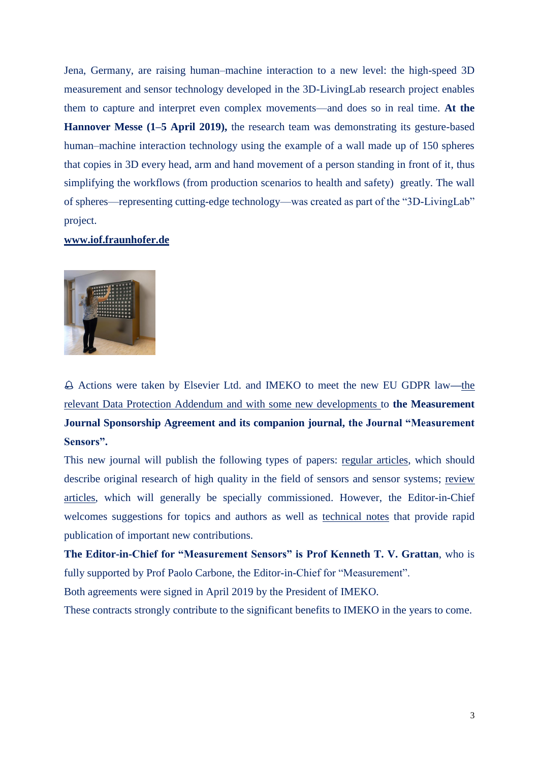Jena, Germany, are raising human–machine interaction to a new level: the high-speed 3D measurement and sensor technology developed in the 3D-LivingLab research project enables them to capture and interpret even complex movements—and does so in real time. **At the Hannover Messe (1–5 April 2019),** the research team was demonstrating its gesture-based human–machine interaction technology using the example of a wall made up of 150 spheres that copies in 3D every head, arm and hand movement of a person standing in front of it, thus simplifying the workflows (from production scenarios to health and safety) greatly. The wall of spheres—representing cutting-edge technology—was created as part of the "3D-LivingLab" project.

#### **[www.iof.fraunhofer.de](http://www.iof.fraunhofer.de/)**



 Actions were taken by Elsevier Ltd. and IMEKO to meet the new EU GDPR law**—**the relevant Data Protection Addendum and with some new developments to **the Measurement Journal Sponsorship Agreement and its companion journal, the Journal "Measurement Sensors".**

This new journal will publish the following types of papers: regular articles, which should describe original research of high quality in the field of sensors and sensor systems; review articles, which will generally be specially commissioned. However, the Editor-in-Chief welcomes suggestions for topics and authors as well as technical notes that provide rapid publication of important new contributions.

**The Editor-in-Chief for "Measurement Sensors" is Prof Kenneth T. V. Grattan**, who is fully supported by Prof Paolo Carbone, the Editor-in-Chief for "Measurement".

Both agreements were signed in April 2019 by the President of IMEKO.

These contracts strongly contribute to the significant benefits to IMEKO in the years to come.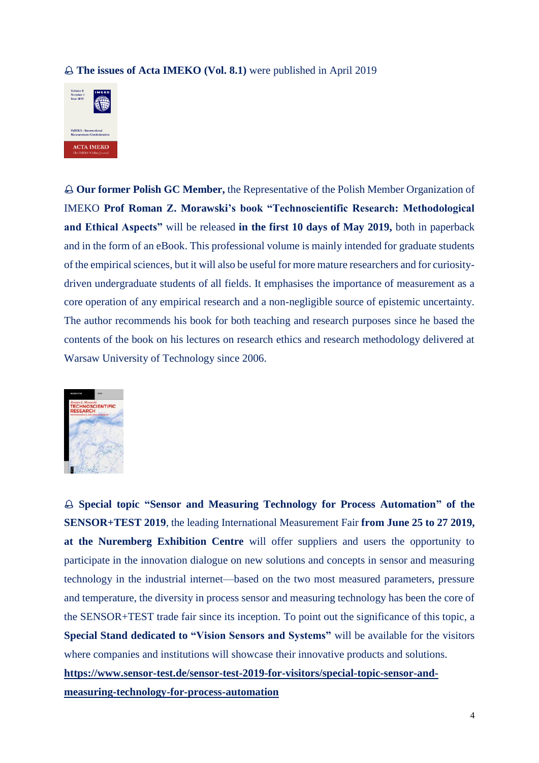### **The issues of Acta IMEKO (Vol. 8.1)** were published in April 2019



 **Our former Polish GC Member,** the Representative of the Polish Member Organization of IMEKO **Prof Roman Z. Morawski's book "Technoscientific Research: Methodological and Ethical Aspects"** will be released **in the first 10 days of May 2019,** both in paperback and in the form of an eBook. This professional volume is mainly intended for graduate students of the empirical sciences, but it will also be useful for more mature researchers and for curiositydriven undergraduate students of all fields. It emphasises the importance of measurement as a core operation of any empirical research and a non-negligible source of epistemic uncertainty. The author recommends his book for both teaching and research purposes since he based the contents of the book on his lectures on research ethics and research methodology delivered at Warsaw University of Technology since 2006.



 **Special topic "Sensor and Measuring Technology for Process Automation" of the SENSOR+TEST 2019**, the leading International Measurement Fair **from June 25 to 27 2019, at the Nuremberg Exhibition Centre** will offer suppliers and users the opportunity to participate in the innovation dialogue on new solutions and concepts in sensor and measuring technology in the industrial internet—based on the two most measured parameters, pressure and temperature, the diversity in process sensor and measuring technology has been the core of the SENSOR+TEST trade fair since its inception. To point out the significance of this topic, a **Special Stand dedicated to "Vision Sensors and Systems"** will be available for the visitors where companies and institutions will showcase their innovative products and solutions.

**[https://www.sensor-test.de/sensor-test-2019-for-visitors/special-topic-sensor-and-](https://www.sensor-test.de/sensor-test-2019-for-visitors/special-topic-sensor-and-measuring-technology-for-process-automation/)**

**[measuring-technology-for-process-automation](https://www.sensor-test.de/sensor-test-2019-for-visitors/special-topic-sensor-and-measuring-technology-for-process-automation/)**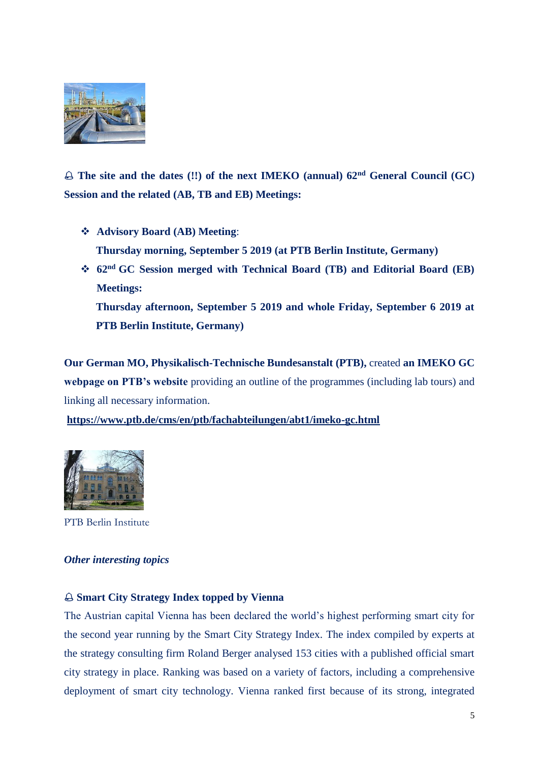

 $\triangle$  The site and the dates (!!) of the next IMEKO (annual)  $62<sup>nd</sup>$  General Council (GC) **Session and the related (AB, TB and EB) Meetings:**

- **Advisory Board (AB) Meeting**: **Thursday morning, September 5 2019 (at PTB Berlin Institute, Germany)**
- **62nd GC Session merged with Technical Board (TB) and Editorial Board (EB) Meetings: Thursday afternoon, September 5 2019 and whole Friday, September 6 2019 at PTB Berlin Institute, Germany)**

**Our German MO, Physikalisch-Technische Bundesanstalt (PTB),** created **an IMEKO GC webpage on PTB's website** providing an outline of the programmes (including lab tours) and linking all necessary information.

**<https://www.ptb.de/cms/en/ptb/fachabteilungen/abt1/imeko-gc.html>**



PTB Berlin Institute

### *Other interesting topics*

### **Smart City Strategy Index topped by Vienna**

The Austrian capital Vienna has been declared the world's highest performing smart city for the second year running by the Smart City Strategy Index. The index compiled by experts at the strategy consulting firm Roland Berger analysed 153 cities with a published official smart city strategy in place. Ranking was based on a variety of factors, including a comprehensive deployment of smart city technology. Vienna ranked first because of its strong, integrated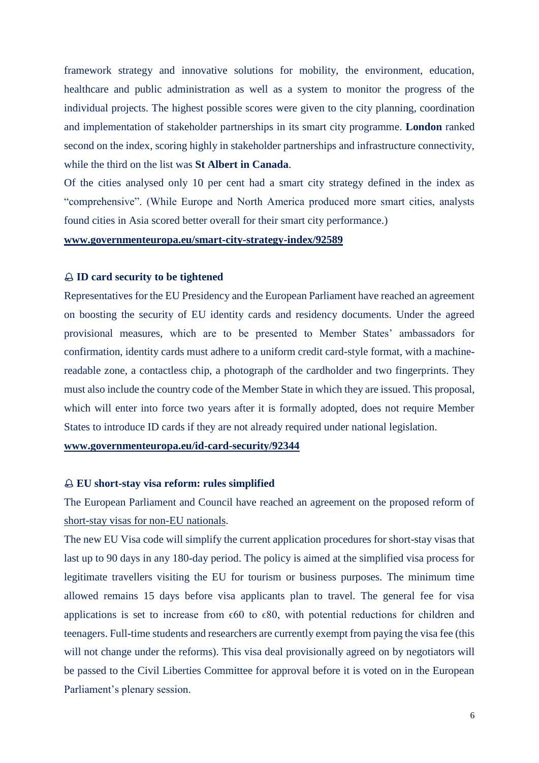framework strategy and innovative solutions for mobility, the environment, education, healthcare and public administration as well as a system to monitor the progress of the individual projects. The highest possible scores were given to the city planning, coordination and implementation of stakeholder partnerships in its smart city programme. **London** ranked second on the index, scoring highly in stakeholder partnerships and infrastructure connectivity, while the third on the list was **St Albert in Canada**.

Of the cities analysed only 10 per cent had a smart city strategy defined in the index as "comprehensive". (While Europe and North America produced more smart cities, analysts found cities in Asia scored better overall for their smart city performance.)

#### **[www.governmenteuropa.eu/smart-city-strategy-index/92589](http://www.governmenteuropa.eu/smart-city-strategy-index/92589)**

#### **ID card security to be tightened**

Representatives for the EU Presidency and the European Parliament have reached an agreement on boosting the security of EU identity cards and residency documents. Under the agreed provisional measures, which are to be presented to Member States' ambassadors for confirmation, identity cards must adhere to a uniform credit card-style format, with a machinereadable zone, a contactless chip, a photograph of the cardholder and two fingerprints. They must also include the country code of the Member State in which they are issued. This proposal, which will enter into force two years after it is formally adopted, does not require Member States to introduce ID cards if they are not already required under national legislation.

**[www.governmenteuropa.eu/id-card-security/92344](http://www.governmenteuropa.eu/id-card-security/92344)**

#### **EU short-stay visa reform: rules simplified**

The European Parliament and Council have reached an agreement on the proposed reform of short-stay visas for non-EU nationals.

The new EU Visa code will simplify the current application procedures for short-stay visas that last up to 90 days in any 180-day period. The policy is aimed at the simplified visa process for legitimate travellers visiting the EU for tourism or business purposes. The minimum time allowed remains 15 days before visa applicants plan to travel. The general fee for visa applications is set to increase from  $\epsilon$ 60 to  $\epsilon$ 80, with potential reductions for children and teenagers. Full-time students and researchers are currently exempt from paying the visa fee (this will not change under the reforms). This visa deal provisionally agreed on by negotiators will be passed to the Civil Liberties Committee for approval before it is voted on in the European Parliament's plenary session.